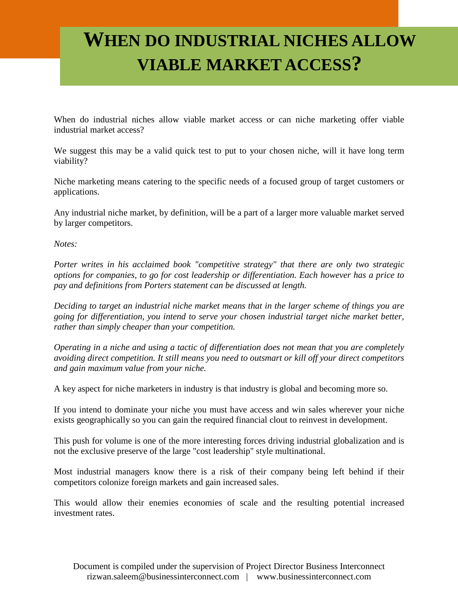## **WHEN DO INDUSTRIAL NICHES ALLOW VIABLE MARKET ACCESS?**

When do industrial niches allow viable market access or can niche marketing offer viable industrial market access?

We suggest this may be a valid quick test to put to your chosen niche, will it have long term viability?

Niche marketing means catering to the specific needs of a focused group of target customers or applications.

Any industrial niche market, by definition, will be a part of a larger more valuable market served by larger competitors.

*Notes:* 

*Porter writes in his acclaimed book "competitive strategy" that there are only two strategic options for companies, to go for cost leadership or differentiation. Each however has a price to pay and definitions from Porters statement can be discussed at length.* 

*Deciding to target an industrial niche market means that in the larger scheme of things you are going for differentiation, you intend to serve your chosen industrial target niche market better, rather than simply cheaper than your competition.*

*Operating in a niche and using a tactic of differentiation does not mean that you are completely avoiding direct competition. It still means you need to outsmart or kill off your direct competitors and gain maximum value from your niche.* 

A key aspect for niche marketers in industry is that industry is global and becoming more so.

If you intend to dominate your niche you must have access and win sales wherever your niche exists geographically so you can gain the required financial clout to reinvest in development.

This push for volume is one of the more interesting forces driving industrial globalization and is not the exclusive preserve of the large "cost leadership" style multinational.

Most industrial managers know there is a risk of their company being left behind if their competitors colonize foreign markets and gain increased sales.

This would allow their enemies economies of scale and the resulting potential increased investment rates.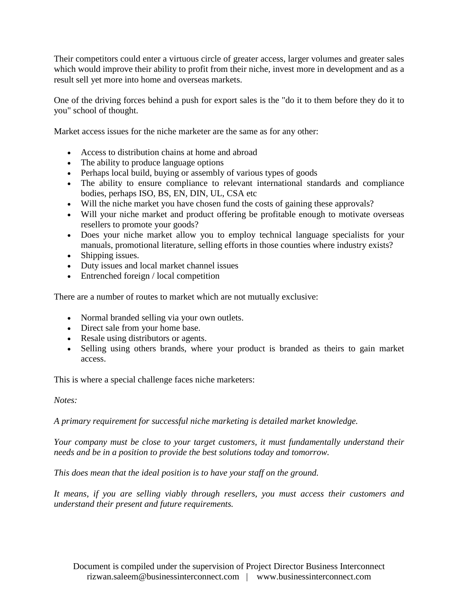Their competitors could enter a virtuous circle of greater access, larger volumes and greater sales which would improve their ability to profit from their niche, invest more in development and as a result sell yet more into home and overseas markets.

One of the driving forces behind a push for export sales is the "do it to them before they do it to you" school of thought.

Market access issues for the niche marketer are the same as for any other:

- Access to distribution chains at home and abroad
- The ability to produce language options
- Perhaps local build, buying or assembly of various types of goods
- The ability to ensure compliance to relevant international standards and compliance bodies, perhaps ISO, BS, EN, DIN, UL, CSA etc
- Will the niche market you have chosen fund the costs of gaining these approvals?
- Will your niche market and product offering be profitable enough to motivate overseas resellers to promote your goods?
- Does your niche market allow you to employ technical language specialists for your manuals, promotional literature, selling efforts in those counties where industry exists?
- Shipping issues.
- Duty issues and local market channel issues
- Entrenched foreign / local competition

There are a number of routes to market which are not mutually exclusive:

- Normal branded selling via your own outlets.
- Direct sale from your home base.
- Resale using distributors or agents.
- Selling using others brands, where your product is branded as theirs to gain market access.

This is where a special challenge faces niche marketers:

*Notes:*

*A primary requirement for successful niche marketing is detailed market knowledge.* 

*Your company must be close to your target customers, it must fundamentally understand their needs and be in a position to provide the best solutions today and tomorrow.* 

*This does mean that the ideal position is to have your staff on the ground.* 

*It means, if you are selling viably through resellers, you must access their customers and understand their present and future requirements.*